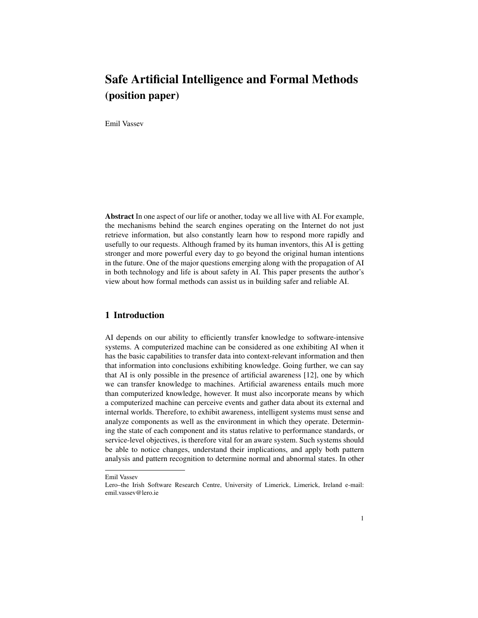# Safe Artificial Intelligence and Formal Methods (position paper)

Emil Vassev

Abstract In one aspect of our life or another, today we all live with AI. For example, the mechanisms behind the search engines operating on the Internet do not just retrieve information, but also constantly learn how to respond more rapidly and usefully to our requests. Although framed by its human inventors, this AI is getting stronger and more powerful every day to go beyond the original human intentions in the future. One of the major questions emerging along with the propagation of AI in both technology and life is about safety in AI. This paper presents the author's view about how formal methods can assist us in building safer and reliable AI.

## 1 Introduction

AI depends on our ability to efficiently transfer knowledge to software-intensive systems. A computerized machine can be considered as one exhibiting AI when it has the basic capabilities to transfer data into context-relevant information and then that information into conclusions exhibiting knowledge. Going further, we can say that AI is only possible in the presence of artificial awareness [12], one by which we can transfer knowledge to machines. Artificial awareness entails much more than computerized knowledge, however. It must also incorporate means by which a computerized machine can perceive events and gather data about its external and internal worlds. Therefore, to exhibit awareness, intelligent systems must sense and analyze components as well as the environment in which they operate. Determining the state of each component and its status relative to performance standards, or service-level objectives, is therefore vital for an aware system. Such systems should be able to notice changes, understand their implications, and apply both pattern analysis and pattern recognition to determine normal and abnormal states. In other

Emil Vassev

Lero–the Irish Software Research Centre, University of Limerick, Limerick, Ireland e-mail: emil.vassev@lero.ie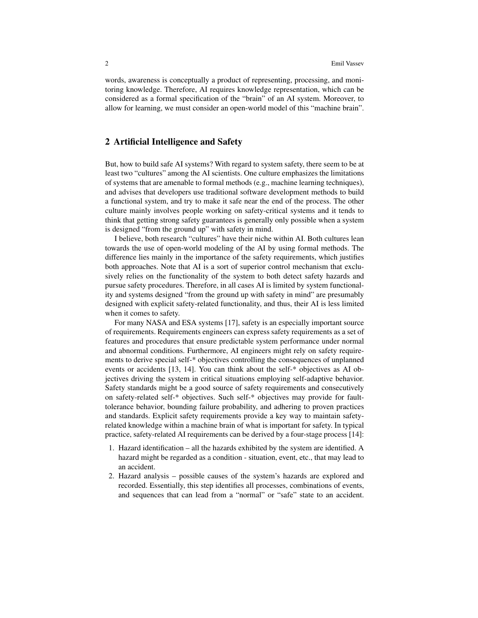words, awareness is conceptually a product of representing, processing, and monitoring knowledge. Therefore, AI requires knowledge representation, which can be considered as a formal specification of the "brain" of an AI system. Moreover, to allow for learning, we must consider an open-world model of this "machine brain".

## 2 Artificial Intelligence and Safety

But, how to build safe AI systems? With regard to system safety, there seem to be at least two "cultures" among the AI scientists. One culture emphasizes the limitations of systems that are amenable to formal methods (e.g., machine learning techniques), and advises that developers use traditional software development methods to build a functional system, and try to make it safe near the end of the process. The other culture mainly involves people working on safety-critical systems and it tends to think that getting strong safety guarantees is generally only possible when a system is designed "from the ground up" with safety in mind.

I believe, both research "cultures" have their niche within AI. Both cultures lean towards the use of open-world modeling of the AI by using formal methods. The difference lies mainly in the importance of the safety requirements, which justifies both approaches. Note that AI is a sort of superior control mechanism that exclusively relies on the functionality of the system to both detect safety hazards and pursue safety procedures. Therefore, in all cases AI is limited by system functionality and systems designed "from the ground up with safety in mind" are presumably designed with explicit safety-related functionality, and thus, their AI is less limited when it comes to safety.

For many NASA and ESA systems [17], safety is an especially important source of requirements. Requirements engineers can express safety requirements as a set of features and procedures that ensure predictable system performance under normal and abnormal conditions. Furthermore, AI engineers might rely on safety requirements to derive special self-\* objectives controlling the consequences of unplanned events or accidents [13, 14]. You can think about the self-\* objectives as AI objectives driving the system in critical situations employing self-adaptive behavior. Safety standards might be a good source of safety requirements and consecutively on safety-related self-\* objectives. Such self-\* objectives may provide for faulttolerance behavior, bounding failure probability, and adhering to proven practices and standards. Explicit safety requirements provide a key way to maintain safetyrelated knowledge within a machine brain of what is important for safety. In typical practice, safety-related AI requirements can be derived by a four-stage process [14]:

- 1. Hazard identification all the hazards exhibited by the system are identified. A hazard might be regarded as a condition - situation, event, etc., that may lead to an accident.
- 2. Hazard analysis possible causes of the system's hazards are explored and recorded. Essentially, this step identifies all processes, combinations of events, and sequences that can lead from a "normal" or "safe" state to an accident.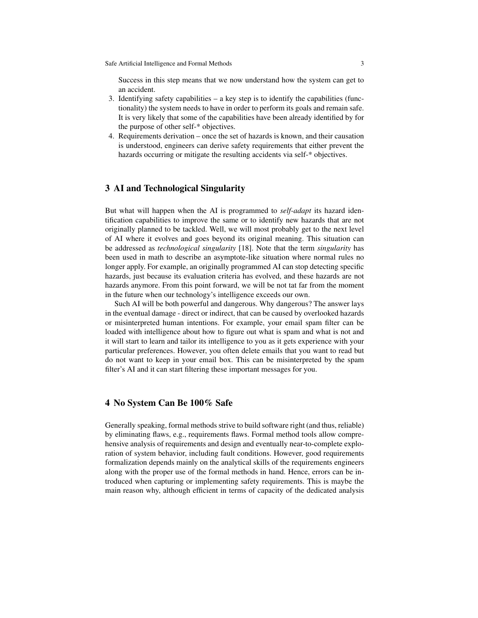Success in this step means that we now understand how the system can get to an accident.

- 3. Identifying safety capabilities  $-$  a key step is to identify the capabilities (functionality) the system needs to have in order to perform its goals and remain safe. It is very likely that some of the capabilities have been already identified by for the purpose of other self-\* objectives.
- 4. Requirements derivation once the set of hazards is known, and their causation is understood, engineers can derive safety requirements that either prevent the hazards occurring or mitigate the resulting accidents via self-\* objectives.

# 3 AI and Technological Singularity

But what will happen when the AI is programmed to *self-adapt* its hazard identification capabilities to improve the same or to identify new hazards that are not originally planned to be tackled. Well, we will most probably get to the next level of AI where it evolves and goes beyond its original meaning. This situation can be addressed as *technological singularity* [18]. Note that the term *singularity* has been used in math to describe an asymptote-like situation where normal rules no longer apply. For example, an originally programmed AI can stop detecting specific hazards, just because its evaluation criteria has evolved, and these hazards are not hazards anymore. From this point forward, we will be not tat far from the moment in the future when our technology's intelligence exceeds our own.

Such AI will be both powerful and dangerous. Why dangerous? The answer lays in the eventual damage - direct or indirect, that can be caused by overlooked hazards or misinterpreted human intentions. For example, your email spam filter can be loaded with intelligence about how to figure out what is spam and what is not and it will start to learn and tailor its intelligence to you as it gets experience with your particular preferences. However, you often delete emails that you want to read but do not want to keep in your email box. This can be misinterpreted by the spam filter's AI and it can start filtering these important messages for you.

#### 4 No System Can Be 100% Safe

Generally speaking, formal methods strive to build software right (and thus, reliable) by eliminating flaws, e.g., requirements flaws. Formal method tools allow comprehensive analysis of requirements and design and eventually near-to-complete exploration of system behavior, including fault conditions. However, good requirements formalization depends mainly on the analytical skills of the requirements engineers along with the proper use of the formal methods in hand. Hence, errors can be introduced when capturing or implementing safety requirements. This is maybe the main reason why, although efficient in terms of capacity of the dedicated analysis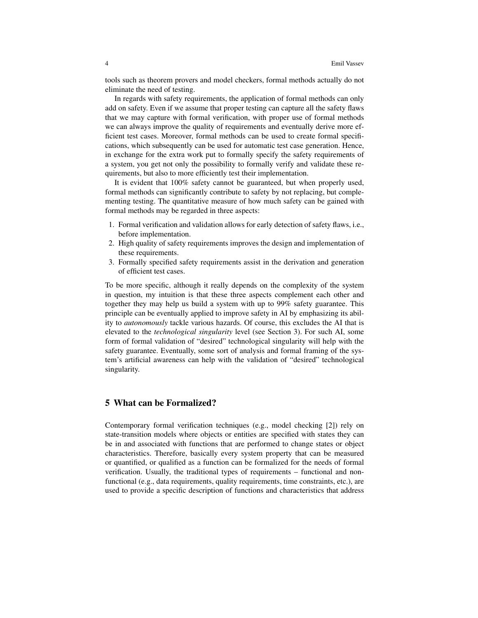tools such as theorem provers and model checkers, formal methods actually do not eliminate the need of testing.

In regards with safety requirements, the application of formal methods can only add on safety. Even if we assume that proper testing can capture all the safety flaws that we may capture with formal verification, with proper use of formal methods we can always improve the quality of requirements and eventually derive more efficient test cases. Moreover, formal methods can be used to create formal specifications, which subsequently can be used for automatic test case generation. Hence, in exchange for the extra work put to formally specify the safety requirements of a system, you get not only the possibility to formally verify and validate these requirements, but also to more efficiently test their implementation.

It is evident that 100% safety cannot be guaranteed, but when properly used, formal methods can significantly contribute to safety by not replacing, but complementing testing. The quantitative measure of how much safety can be gained with formal methods may be regarded in three aspects:

- 1. Formal verification and validation allows for early detection of safety flaws, i.e., before implementation.
- 2. High quality of safety requirements improves the design and implementation of these requirements.
- 3. Formally specified safety requirements assist in the derivation and generation of efficient test cases.

To be more specific, although it really depends on the complexity of the system in question, my intuition is that these three aspects complement each other and together they may help us build a system with up to 99% safety guarantee. This principle can be eventually applied to improve safety in AI by emphasizing its ability to *autonomously* tackle various hazards. Of course, this excludes the AI that is elevated to the *technological singularity* level (see Section 3). For such AI, some form of formal validation of "desired" technological singularity will help with the safety guarantee. Eventually, some sort of analysis and formal framing of the system's artificial awareness can help with the validation of "desired" technological singularity.

#### 5 What can be Formalized?

Contemporary formal verification techniques (e.g., model checking [2]) rely on state-transition models where objects or entities are specified with states they can be in and associated with functions that are performed to change states or object characteristics. Therefore, basically every system property that can be measured or quantified, or qualified as a function can be formalized for the needs of formal verification. Usually, the traditional types of requirements – functional and nonfunctional (e.g., data requirements, quality requirements, time constraints, etc.), are used to provide a specific description of functions and characteristics that address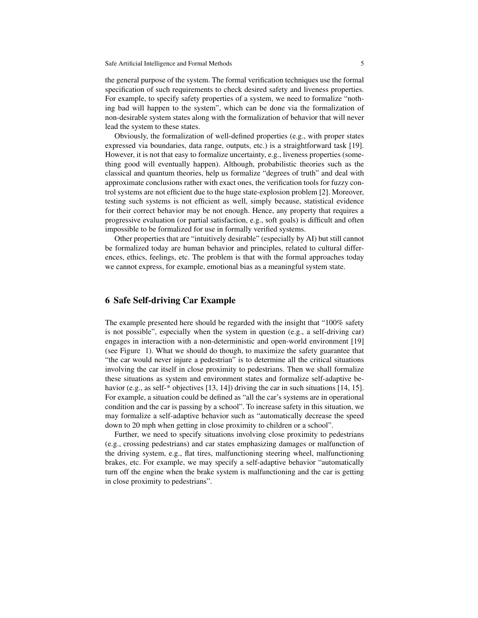the general purpose of the system. The formal verification techniques use the formal specification of such requirements to check desired safety and liveness properties. For example, to specify safety properties of a system, we need to formalize "nothing bad will happen to the system", which can be done via the formalization of non-desirable system states along with the formalization of behavior that will never lead the system to these states.

Obviously, the formalization of well-defined properties (e.g., with proper states expressed via boundaries, data range, outputs, etc.) is a straightforward task [19]. However, it is not that easy to formalize uncertainty, e.g., liveness properties (something good will eventually happen). Although, probabilistic theories such as the classical and quantum theories, help us formalize "degrees of truth" and deal with approximate conclusions rather with exact ones, the verification tools for fuzzy control systems are not efficient due to the huge state-explosion problem [2]. Moreover, testing such systems is not efficient as well, simply because, statistical evidence for their correct behavior may be not enough. Hence, any property that requires a progressive evaluation (or partial satisfaction, e.g., soft goals) is difficult and often impossible to be formalized for use in formally verified systems.

Other properties that are "intuitively desirable" (especially by AI) but still cannot be formalized today are human behavior and principles, related to cultural differences, ethics, feelings, etc. The problem is that with the formal approaches today we cannot express, for example, emotional bias as a meaningful system state.

## 6 Safe Self-driving Car Example

The example presented here should be regarded with the insight that "100% safety is not possible", especially when the system in question (e.g., a self-driving car) engages in interaction with a non-deterministic and open-world environment [19] (see Figure 1). What we should do though, to maximize the safety guarantee that "the car would never injure a pedestrian" is to determine all the critical situations involving the car itself in close proximity to pedestrians. Then we shall formalize these situations as system and environment states and formalize self-adaptive behavior (e.g., as self-\* objectives [13, 14]) driving the car in such situations [14, 15]. For example, a situation could be defined as "all the car's systems are in operational condition and the car is passing by a school". To increase safety in this situation, we may formalize a self-adaptive behavior such as "automatically decrease the speed down to 20 mph when getting in close proximity to children or a school".

Further, we need to specify situations involving close proximity to pedestrians (e.g., crossing pedestrians) and car states emphasizing damages or malfunction of the driving system, e.g., flat tires, malfunctioning steering wheel, malfunctioning brakes, etc. For example, we may specify a self-adaptive behavior "automatically turn off the engine when the brake system is malfunctioning and the car is getting in close proximity to pedestrians".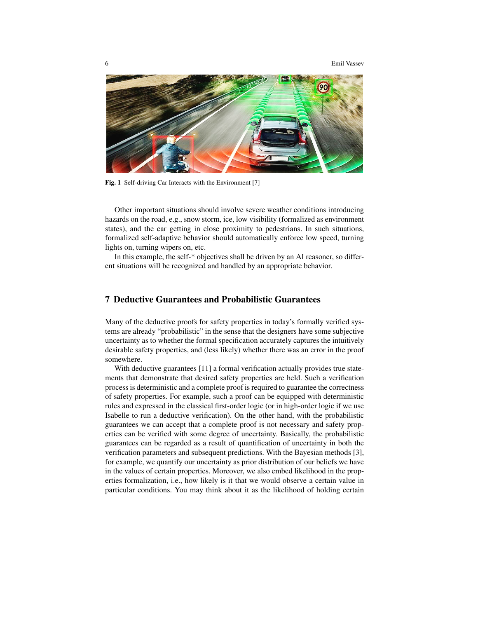

Fig. 1 Self-driving Car Interacts with the Environment [7]

Other important situations should involve severe weather conditions introducing hazards on the road, e.g., snow storm, ice, low visibility (formalized as environment states), and the car getting in close proximity to pedestrians. In such situations, formalized self-adaptive behavior should automatically enforce low speed, turning lights on, turning wipers on, etc.

In this example, the self-\* objectives shall be driven by an AI reasoner, so different situations will be recognized and handled by an appropriate behavior.

#### 7 Deductive Guarantees and Probabilistic Guarantees

Many of the deductive proofs for safety properties in today's formally verified systems are already "probabilistic" in the sense that the designers have some subjective uncertainty as to whether the formal specification accurately captures the intuitively desirable safety properties, and (less likely) whether there was an error in the proof somewhere.

With deductive guarantees [11] a formal verification actually provides true statements that demonstrate that desired safety properties are held. Such a verification process is deterministic and a complete proof is required to guarantee the correctness of safety properties. For example, such a proof can be equipped with deterministic rules and expressed in the classical first-order logic (or in high-order logic if we use Isabelle to run a deductive verification). On the other hand, with the probabilistic guarantees we can accept that a complete proof is not necessary and safety properties can be verified with some degree of uncertainty. Basically, the probabilistic guarantees can be regarded as a result of quantification of uncertainty in both the verification parameters and subsequent predictions. With the Bayesian methods [3], for example, we quantify our uncertainty as prior distribution of our beliefs we have in the values of certain properties. Moreover, we also embed likelihood in the properties formalization, i.e., how likely is it that we would observe a certain value in particular conditions. You may think about it as the likelihood of holding certain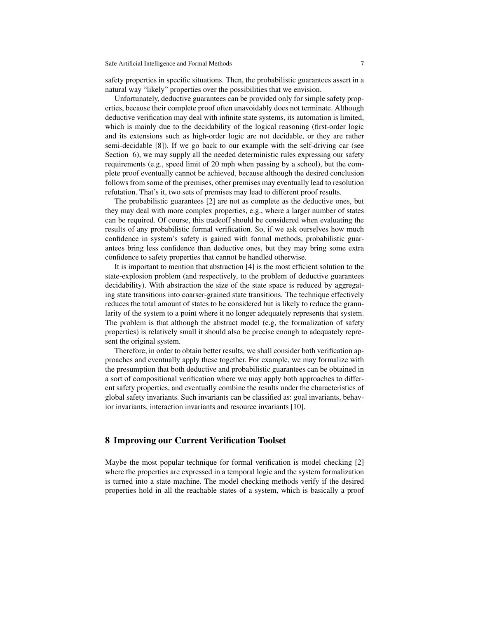safety properties in specific situations. Then, the probabilistic guarantees assert in a natural way "likely" properties over the possibilities that we envision.

Unfortunately, deductive guarantees can be provided only for simple safety properties, because their complete proof often unavoidably does not terminate. Although deductive verification may deal with infinite state systems, its automation is limited, which is mainly due to the decidability of the logical reasoning (first-order logic and its extensions such as high-order logic are not decidable, or they are rather semi-decidable [8]). If we go back to our example with the self-driving car (see Section 6), we may supply all the needed deterministic rules expressing our safety requirements (e.g., speed limit of 20 mph when passing by a school), but the complete proof eventually cannot be achieved, because although the desired conclusion follows from some of the premises, other premises may eventually lead to resolution refutation. That's it, two sets of premises may lead to different proof results.

The probabilistic guarantees [2] are not as complete as the deductive ones, but they may deal with more complex properties, e.g., where a larger number of states can be required. Of course, this tradeoff should be considered when evaluating the results of any probabilistic formal verification. So, if we ask ourselves how much confidence in system's safety is gained with formal methods, probabilistic guarantees bring less confidence than deductive ones, but they may bring some extra confidence to safety properties that cannot be handled otherwise.

It is important to mention that abstraction [4] is the most efficient solution to the state-explosion problem (and respectively, to the problem of deductive guarantees decidability). With abstraction the size of the state space is reduced by aggregating state transitions into coarser-grained state transitions. The technique effectively reduces the total amount of states to be considered but is likely to reduce the granularity of the system to a point where it no longer adequately represents that system. The problem is that although the abstract model (e.g, the formalization of safety properties) is relatively small it should also be precise enough to adequately represent the original system.

Therefore, in order to obtain better results, we shall consider both verification approaches and eventually apply these together. For example, we may formalize with the presumption that both deductive and probabilistic guarantees can be obtained in a sort of compositional verification where we may apply both approaches to different safety properties, and eventually combine the results under the characteristics of global safety invariants. Such invariants can be classified as: goal invariants, behavior invariants, interaction invariants and resource invariants [10].

## 8 Improving our Current Verification Toolset

Maybe the most popular technique for formal verification is model checking [2] where the properties are expressed in a temporal logic and the system formalization is turned into a state machine. The model checking methods verify if the desired properties hold in all the reachable states of a system, which is basically a proof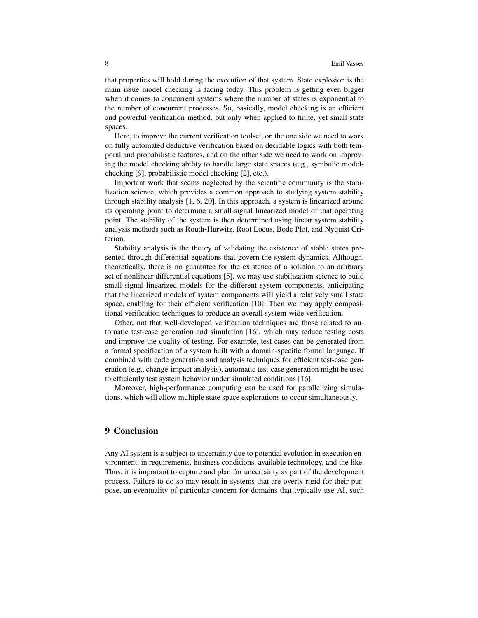that properties will hold during the execution of that system. State explosion is the main issue model checking is facing today. This problem is getting even bigger when it comes to concurrent systems where the number of states is exponential to the number of concurrent processes. So, basically, model checking is an efficient and powerful verification method, but only when applied to finite, yet small state spaces.

Here, to improve the current verification toolset, on the one side we need to work on fully automated deductive verification based on decidable logics with both temporal and probabilistic features, and on the other side we need to work on improving the model checking ability to handle large state spaces (e.g., symbolic modelchecking [9], probabilistic model checking [2], etc.).

Important work that seems neglected by the scientific community is the stabilization science, which provides a common approach to studying system stability through stability analysis [1, 6, 20]. In this approach, a system is linearized around its operating point to determine a small-signal linearized model of that operating point. The stability of the system is then determined using linear system stability analysis methods such as Routh-Hurwitz, Root Locus, Bode Plot, and Nyquist Criterion.

Stability analysis is the theory of validating the existence of stable states presented through differential equations that govern the system dynamics. Although, theoretically, there is no guarantee for the existence of a solution to an arbitrary set of nonlinear differential equations [5], we may use stabilization science to build small-signal linearized models for the different system components, anticipating that the linearized models of system components will yield a relatively small state space, enabling for their efficient verification [10]. Then we may apply compositional verification techniques to produce an overall system-wide verification.

Other, not that well-developed verification techniques are those related to automatic test-case generation and simulation [16], which may reduce testing costs and improve the quality of testing. For example, test cases can be generated from a formal specification of a system built with a domain-specific formal language. If combined with code generation and analysis techniques for efficient test-case generation (e.g., change-impact analysis), automatic test-case generation might be used to efficiently test system behavior under simulated conditions [16].

Moreover, high-performance computing can be used for parallelizing simulations, which will allow multiple state space explorations to occur simultaneously.

## 9 Conclusion

Any AI system is a subject to uncertainty due to potential evolution in execution environment, in requirements, business conditions, available technology, and the like. Thus, it is important to capture and plan for uncertainty as part of the development process. Failure to do so may result in systems that are overly rigid for their purpose, an eventuality of particular concern for domains that typically use AI, such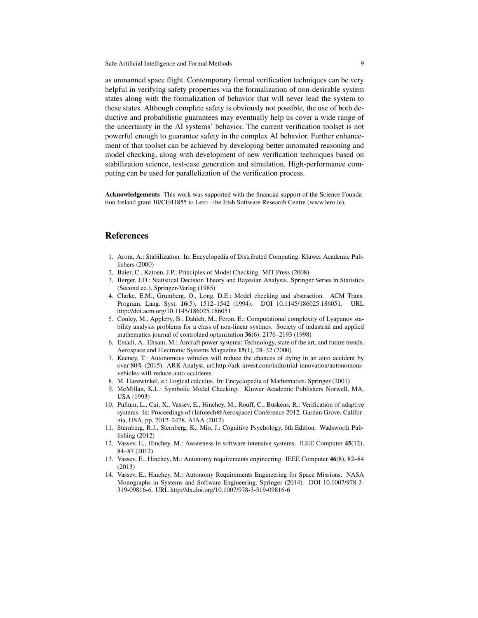Safe Artificial Intelligence and Formal Methods 9

as unmanned space flight. Contemporary formal verification techniques can be very helpful in verifying safety properties via the formalization of non-desirable system states along with the formalization of behavior that will never lead the system to these states. Although complete safety is obviously not possible, the use of both deductive and probabilistic guarantees may eventually help us cover a wide range of the uncertainty in the AI systems' behavior. The current verification toolset is not powerful enough to guarantee safety in the complex AI behavior. Further enhancement of that toolset can be achieved by developing better automated reasoning and model checking, along with development of new verification techniques based on stabilization science, test-case generation and simulation. High-performance computing can be used for parallelization of the verification process.

Acknowledgements This work was supported with the financial support of the Science Foundation Ireland grant 10/CE/I1855 to Lero - the Irish Software Research Centre (www.lero.ie).

# References

- 1. Arora, A.: Stabilization. In: Encyclopedia of Distributed Computing. Kluwer Academic Publishers (2000)
- 2. Baier, C., Katoen, J.P.: Principles of Model Checking. MIT Press (2008)
- 3. Berger, J.O.: Statistical Decision Theory and Bayesian Analysis. Springer Series in Statistics (Second ed.), Springer-Verlag (1985)
- 4. Clarke, E.M., Grumberg, O., Long, D.E.: Model checking and abstraction. ACM Trans. Program. Lang. Syst. 16(5), 1512–1542 (1994). DOI 10.1145/186025.186051. URL http://doi.acm.org/10.1145/186025.186051
- 5. Conley, M., Appleby, B., Dahleh, M., Feron, E.: Computational complexity of Lyapunov stability analysis problems for a class of non-linear systmes. Society of industrial and applied mathematics journal of controland optimization 36(6), 2176–2193 (1998)
- 6. Emadi, A., Ehsani, M.: Aircraft power systems: Technology, state of the art, and future trends. Aerospace and Electronic Systems Magazine 15(1), 28–32 (2000)
- 7. Keeney, T.: Autonomous vehicles will reduce the chances of dying in an auto accident by over 80% (2015). ARK Analyst, url:http://ark-invest.com/industrial-innovation/autonomousvehicles-will-reduce-auto-accidents
- 8. M. Hazewinkel, e.: Logical calculus. In: Encyclopedia of Mathematics. Springer (2001)
- 9. McMillan, K.L.: Symbolic Model Checking. Kluwer Academic Publishers Norwell, MA, USA (1993)
- 10. Pullum, L., Cui, X., Vassev, E., Hinchey, M., Rouff, C., Buskens, R.: Verification of adaptive systems. In: Proceedings of (Infotech@Aerospace) Conference 2012, Garden Grove, California, USA, pp. 2012–2478. AIAA (2012)
- 11. Sternberg, R.J., Sternberg, K., Mio, J.: Cognitive Psychology, 6th Edition. Wadsworth Publishing (2012)
- 12. Vassev, E., Hinchey, M.: Awareness in software-intensive systems. IEEE Computer 45(12), 84–87 (2012)
- 13. Vassev, E., Hinchey, M.: Autonomy requirements engineering. IEEE Computer 46(8), 82–84 (2013)
- 14. Vassev, E., Hinchey, M.: Autonomy Requirements Engineering for Space Missions. NASA Monographs in Systems and Software Engineering. Springer (2014). DOI 10.1007/978-3- 319-09816-6. URL http://dx.doi.org/10.1007/978-3-319-09816-6